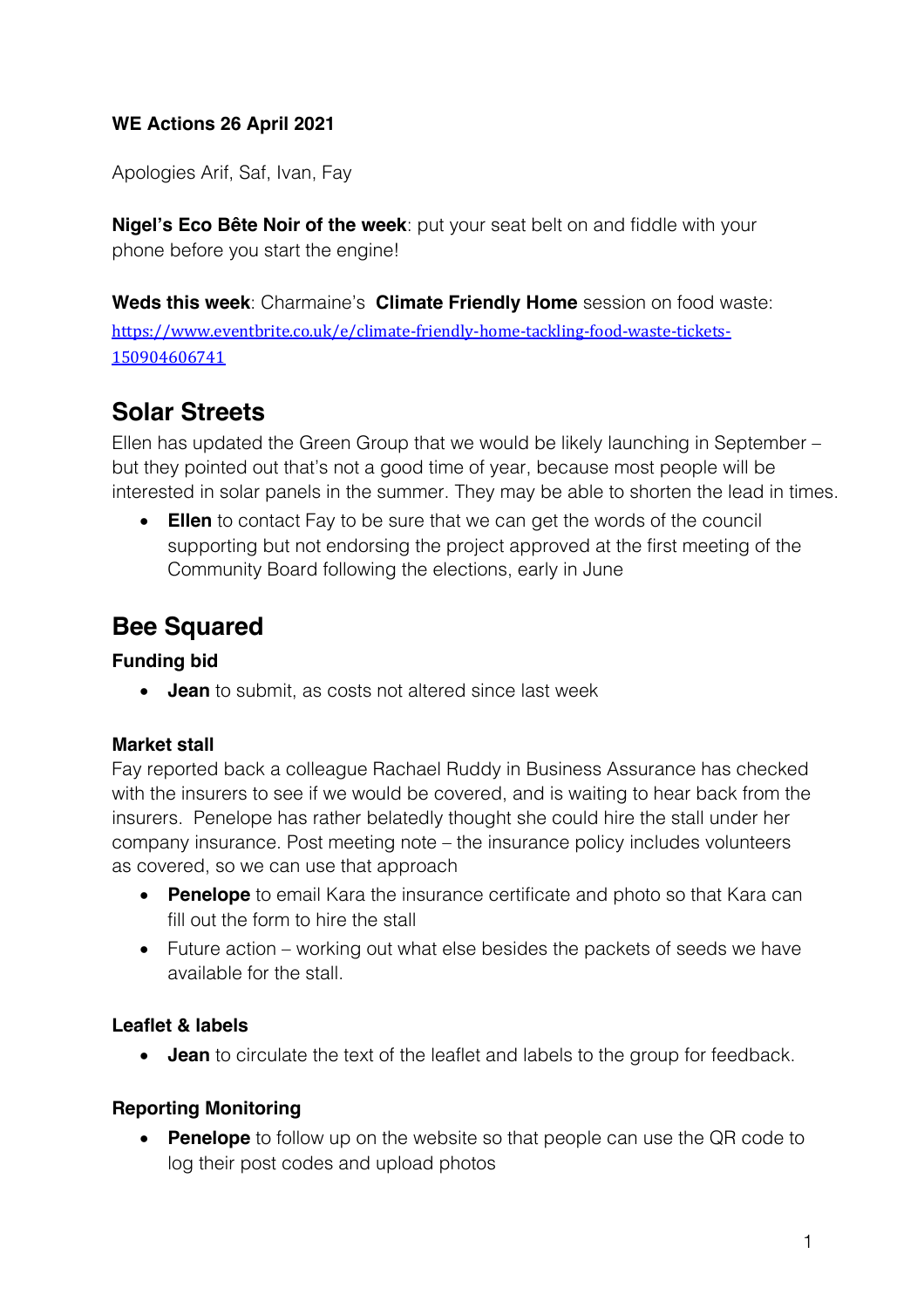# **WE Actions 26 April 2021**

Apologies Arif, Saf, Ivan, Fay

**Nigel's Eco Bête Noir of the week**: put your seat belt on and fiddle with your phone before you start the engine!

**Weds this week**: Charmaine's **Climate Friendly Home** session on food waste: https://www.eventbrite.co.uk/e/climate-friendly-home-tackling-food-waste-tickets-150904606741

# **Solar Streets**

Ellen has updated the Green Group that we would be likely launching in September – but they pointed out that's not a good time of year, because most people will be interested in solar panels in the summer. They may be able to shorten the lead in times.

• **Ellen** to contact Fay to be sure that we can get the words of the council supporting but not endorsing the project approved at the first meeting of the Community Board following the elections, early in June

# **Bee Squared**

## **Funding bid**

• **Jean** to submit, as costs not altered since last week

#### **Market stall**

Fay reported back a colleague Rachael Ruddy in Business Assurance has checked with the insurers to see if we would be covered, and is waiting to hear back from the insurers. Penelope has rather belatedly thought she could hire the stall under her company insurance. Post meeting note – the insurance policy includes volunteers as covered, so we can use that approach

- **Penelope** to email Kara the insurance certificate and photo so that Kara can fill out the form to hire the stall
- Future action working out what else besides the packets of seeds we have available for the stall.

## **Leaflet & labels**

• **Jean** to circulate the text of the leaflet and labels to the group for feedback.

## **Reporting Monitoring**

**Penelope** to follow up on the website so that people can use the QR code to log their post codes and upload photos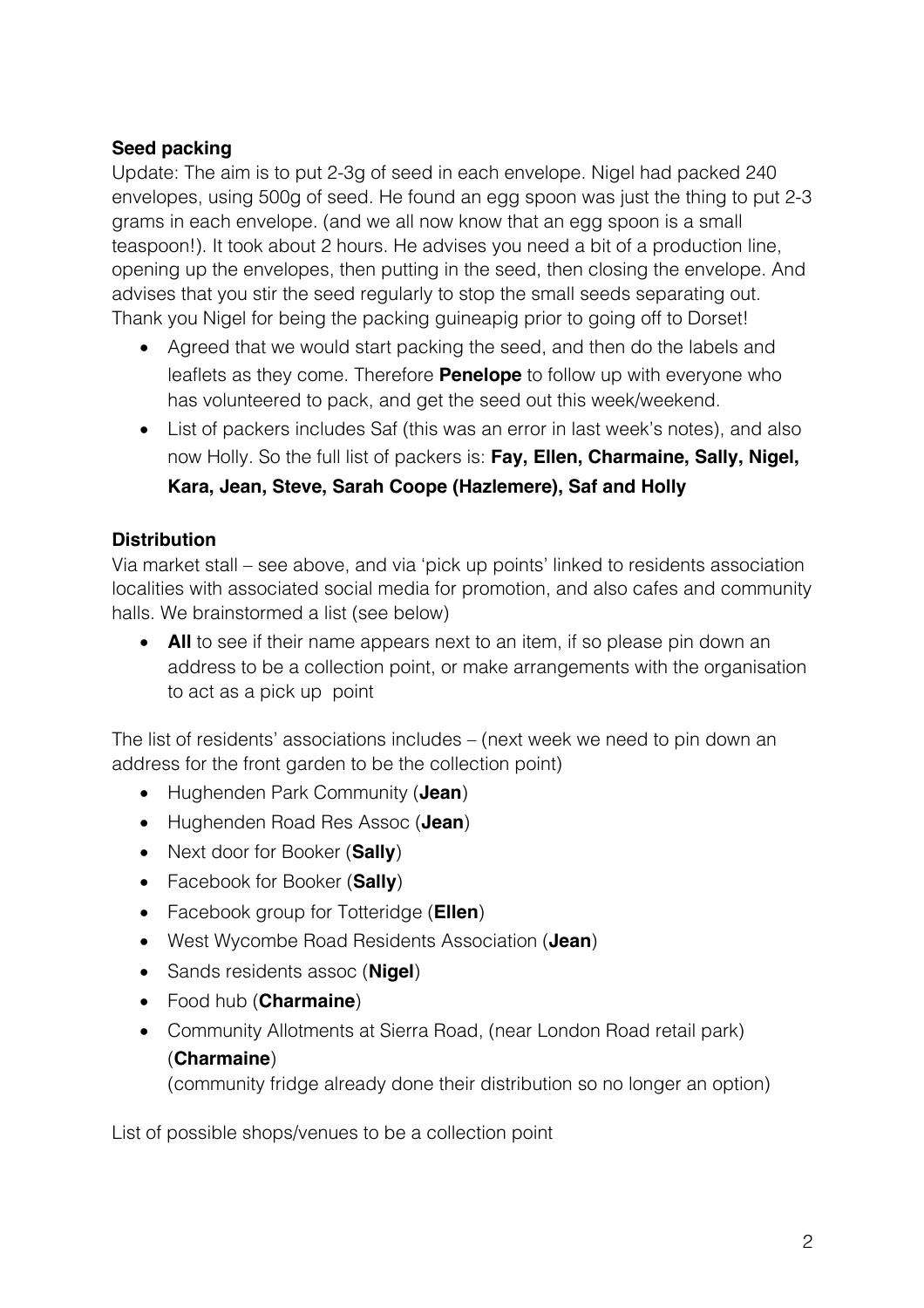# **Seed packing**

Update: The aim is to put 2-3g of seed in each envelope. Nigel had packed 240 envelopes, using 500g of seed. He found an egg spoon was just the thing to put 2-3 grams in each envelope. (and we all now know that an egg spoon is a small teaspoon!). It took about 2 hours. He advises you need a bit of a production line, opening up the envelopes, then putting in the seed, then closing the envelope. And advises that you stir the seed regularly to stop the small seeds separating out. Thank you Nigel for being the packing guineapig prior to going off to Dorset!

- Agreed that we would start packing the seed, and then do the labels and leaflets as they come. Therefore **Penelope** to follow up with everyone who has volunteered to pack, and get the seed out this week/weekend.
- List of packers includes Saf (this was an error in last week's notes), and also now Holly. So the full list of packers is: **Fay, Ellen, Charmaine, Sally, Nigel, Kara, Jean, Steve, Sarah Coope (Hazlemere), Saf and Holly**

# **Distribution**

Via market stall – see above, and via 'pick up points' linked to residents association localities with associated social media for promotion, and also cafes and community halls. We brainstormed a list (see below)

• **All** to see if their name appears next to an item, if so please pin down an address to be a collection point, or make arrangements with the organisation to act as a pick up point

The list of residents' associations includes – (next week we need to pin down an address for the front garden to be the collection point)

- Hughenden Park Community (**Jean**)
- Hughenden Road Res Assoc (**Jean**)
- Next door for Booker (**Sally**)
- Facebook for Booker (**Sally**)
- Facebook group for Totteridge (**Ellen**)
- West Wycombe Road Residents Association (**Jean**)
- Sands residents assoc (**Nigel**)
- Food hub (**Charmaine**)
- Community Allotments at Sierra Road, (near London Road retail park) (**Charmaine**)

(community fridge already done their distribution so no longer an option)

List of possible shops/venues to be a collection point